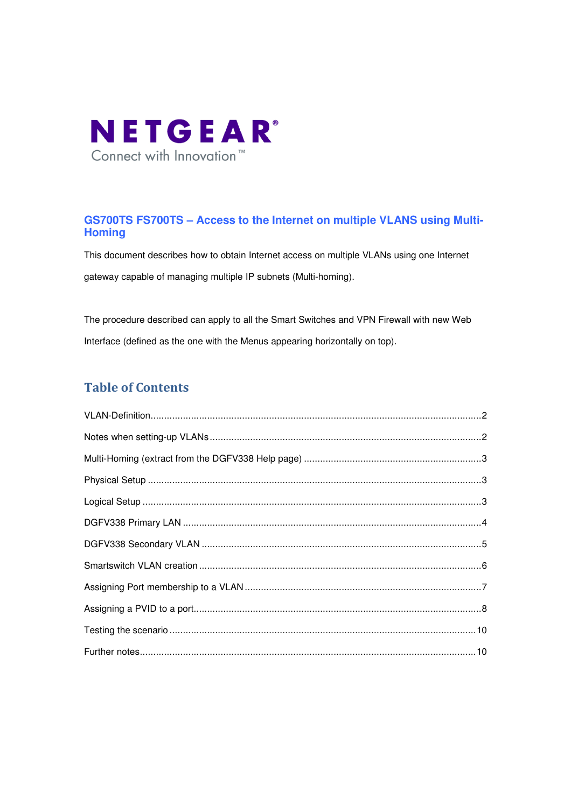

# **GS700TS FS700TS – Access to the Internet on multiple VLANS using Multi-Homing**

This document describes how to obtain Internet access on multiple VLANs using one Internet gateway capable of managing multiple IP subnets (Multi-homing).

The procedure described can apply to all the Smart Switches and VPN Firewall with new Web Interface (defined as the one with the Menus appearing horizontally on top).

# Table of Contents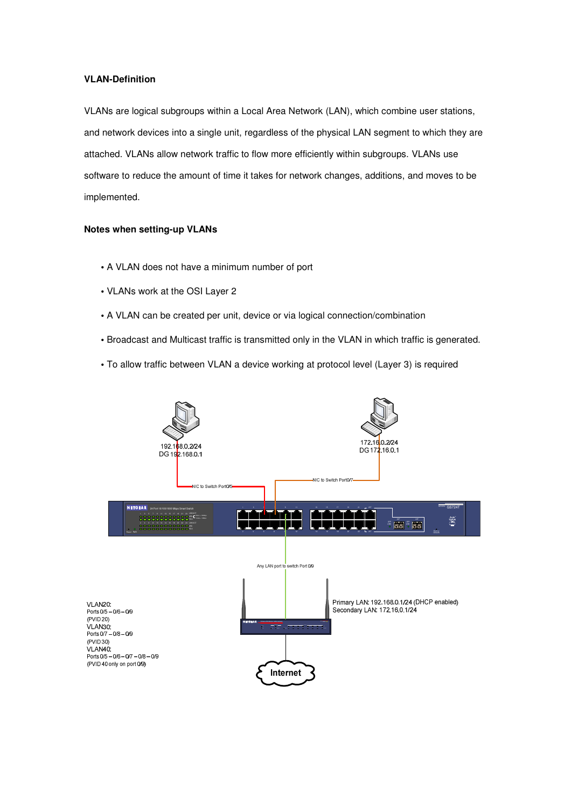### **VLAN-Definition**

VLANs are logical subgroups within a Local Area Network (LAN), which combine user stations, and network devices into a single unit, regardless of the physical LAN segment to which they are attached. VLANs allow network traffic to flow more efficiently within subgroups. VLANs use software to reduce the amount of time it takes for network changes, additions, and moves to be implemented.

### **Notes when setting-up VLANs**

- A VLAN does not have a minimum number of port
- VLANs work at the OSI Layer 2
- A VLAN can be created per unit, device or via logical connection/combination
- Broadcast and Multicast traffic is transmitted only in the VLAN in which traffic is generated.
- To allow traffic between VLAN a device working at protocol level (Layer 3) is required

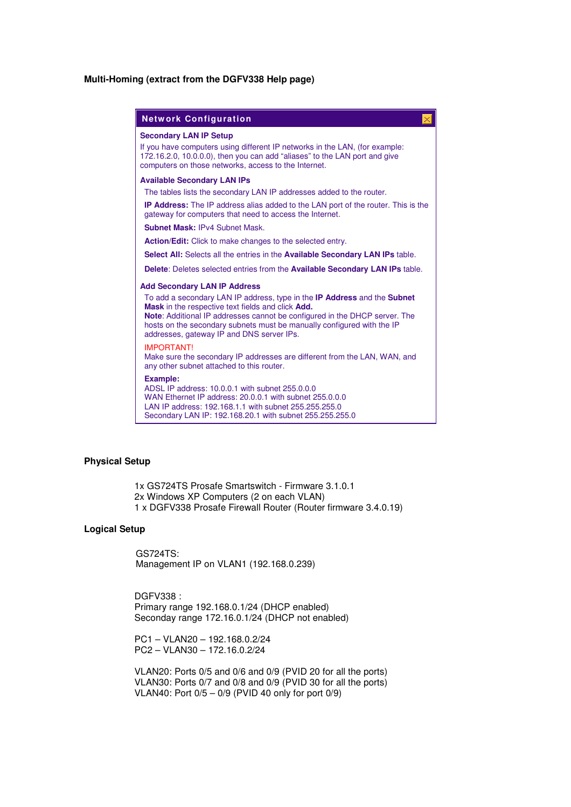### **Multi-Homing (extract from the DGFV338 Help page)**

| <b>Network Configuration</b><br>×                                                                                                                                                                                                                                                                                                                                     |
|-----------------------------------------------------------------------------------------------------------------------------------------------------------------------------------------------------------------------------------------------------------------------------------------------------------------------------------------------------------------------|
| <b>Secondary LAN IP Setup</b><br>If you have computers using different IP networks in the LAN, (for example:<br>172.16.2.0, 10.0.0.0), then you can add "aliases" to the LAN port and give<br>computers on those networks, access to the Internet.                                                                                                                    |
| <b>Available Secondary LAN IPs</b><br>The tables lists the secondary LAN IP addresses added to the router.                                                                                                                                                                                                                                                            |
| <b>IP Address:</b> The IP address alias added to the LAN port of the router. This is the<br>gateway for computers that need to access the Internet.                                                                                                                                                                                                                   |
| <b>Subnet Mask: IPv4 Subnet Mask.</b>                                                                                                                                                                                                                                                                                                                                 |
| <b>Action/Edit:</b> Click to make changes to the selected entry.                                                                                                                                                                                                                                                                                                      |
| Select All: Selects all the entries in the Available Secondary LAN IPs table.                                                                                                                                                                                                                                                                                         |
| <b>Delete:</b> Deletes selected entries from the <b>Available Secondary LAN IPs</b> table.                                                                                                                                                                                                                                                                            |
| <b>Add Secondary LAN IP Address</b>                                                                                                                                                                                                                                                                                                                                   |
| To add a secondary LAN IP address, type in the <b>IP Address</b> and the <b>Subnet</b><br><b>Mask</b> in the respective text fields and click <b>Add.</b><br><b>Note:</b> Additional IP addresses cannot be configured in the DHCP server. The<br>hosts on the secondary subnets must be manually configured with the IP<br>addresses, gateway IP and DNS server IPs. |
| <b>IMPORTANT!</b><br>Make sure the secondary IP addresses are different from the LAN, WAN, and<br>any other subnet attached to this router.                                                                                                                                                                                                                           |
| <b>Example:</b><br>ADSL IP address: 10.0.0.1 with subnet 255.0.0.0<br>WAN Ethernet IP address: 20.0.0.1 with subnet 255.0.0.0<br>LAN IP address: 192.168.1.1 with subnet 255.255.255.0<br>Secondary LAN IP: 192.168.20.1 with subnet 255.255.255.0                                                                                                                    |

#### **Physical Setup**

1x GS724TS Prosafe Smartswitch - Firmware 3.1.0.1 2x Windows XP Computers (2 on each VLAN) 1 x DGFV338 Prosafe Firewall Router (Router firmware 3.4.0.19)

### **Logical Setup**

 GS724TS: Management IP on VLAN1 (192.168.0.239)

DGFV338 : Primary range 192.168.0.1/24 (DHCP enabled) Seconday range 172.16.0.1/24 (DHCP not enabled)

PC1 – VLAN20 – 192.168.0.2/24 PC2 – VLAN30 – 172.16.0.2/24

VLAN20: Ports 0/5 and 0/6 and 0/9 (PVID 20 for all the ports) VLAN30: Ports 0/7 and 0/8 and 0/9 (PVID 30 for all the ports) VLAN40: Port 0/5 – 0/9 (PVID 40 only for port 0/9)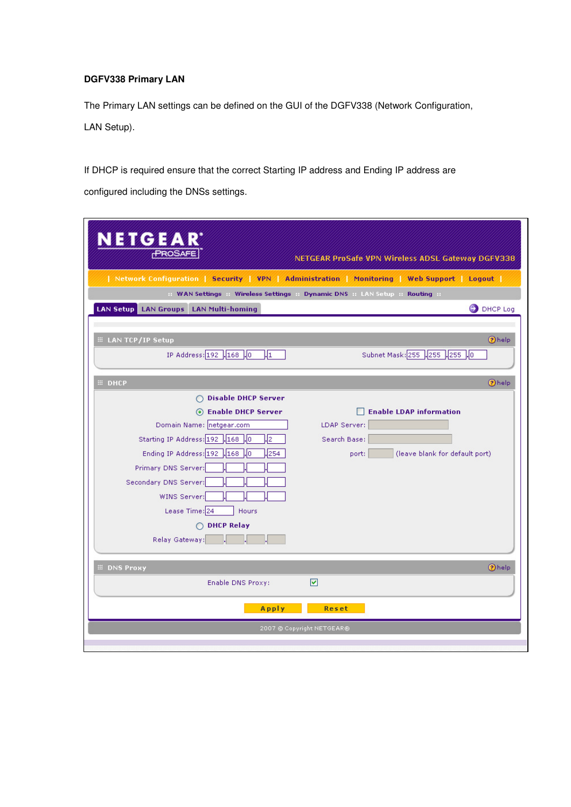# **DGFV338 Primary LAN**

The Primary LAN settings can be defined on the GUI of the DGFV338 (Network Configuration, LAN Setup).

If DHCP is required ensure that the correct Starting IP address and Ending IP address are configured including the DNSs settings.

| <b>NETGEAR</b><br>PROSAFE                      | NETGEAR ProSafe VPN Wireless ADSL Gateway DGFV338                                           |
|------------------------------------------------|---------------------------------------------------------------------------------------------|
|                                                | Network Configuration   Security   VPN   Administration   Monitoring   Web Support   Logout |
|                                                | :: WAN Settings :: Wireless Settings :: Dynamic DNS :: LAN Setup :: Routing ::              |
| <b>LAN Setup LAN Groups LAN Multi-homing</b>   | <b>DHCP</b> Log                                                                             |
|                                                |                                                                                             |
| <b>EE LAN TCP/IP Setup</b>                     | <b>Ohelp</b>                                                                                |
| IP Address: 192 .168 .0<br>$\mathbf{u}_1$      | Subnet Mask: 255 .255 .255 .0                                                               |
|                                                |                                                                                             |
| # DHCP                                         | <b>Ohelp</b>                                                                                |
| ◯ Disable DHCP Server                          |                                                                                             |
| ⊙ Enable DHCP Server                           | <b>Enable LDAP information</b>                                                              |
| Domain Name: netgear.com                       | LDAP Server:                                                                                |
| Starting IP Address: 192 .168 .0<br>$\sqrt{2}$ | Search Base:                                                                                |
| Ending IP Address: 192 .168 .0<br>.254         | (leave blank for default port)<br>port:                                                     |
| Primary DNS Server:                            |                                                                                             |
| Secondary DNS Server:                          |                                                                                             |
| WINS Server:                                   |                                                                                             |
| Lease Time: 24<br>Hours                        |                                                                                             |
| ◯ DHCP Relay                                   |                                                                                             |
| Relay Gateway:                                 |                                                                                             |
|                                                |                                                                                             |
| <b>EE DNS Proxy</b>                            | <b>Ohelp</b>                                                                                |
| Enable DNS Proxy:                              | ⊻                                                                                           |
| Apply                                          | Reset                                                                                       |
|                                                | 2007 © Copyright NETGEAR®                                                                   |
|                                                |                                                                                             |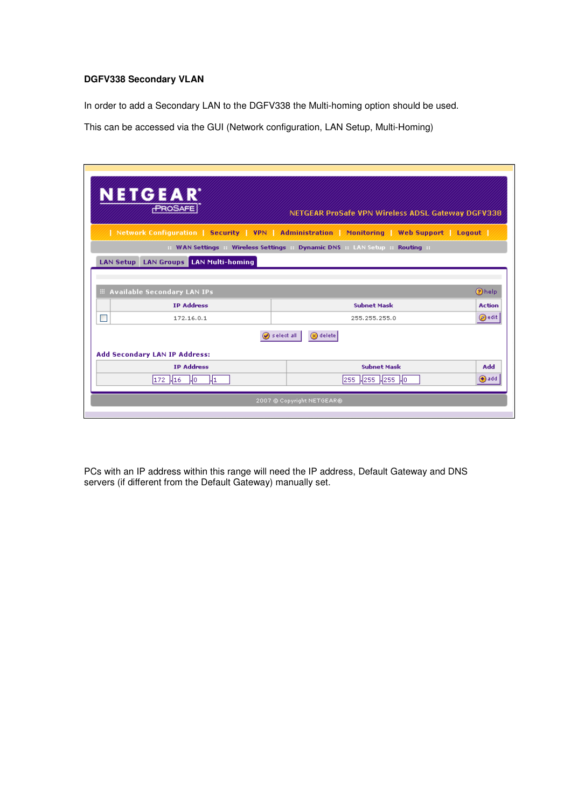## **DGFV338 Secondary VLAN**

In order to add a Secondary LAN to the DGFV338 the Multi-homing option should be used.

This can be accessed via the GUI (Network configuration, LAN Setup, Multi-Homing)

| NETGEAR<br>PROSAFE<br>NETGEAR ProSafe VPN Wireless ADSL Gateway DGFV338         |                                                                                             |  |  |  |  |
|---------------------------------------------------------------------------------|---------------------------------------------------------------------------------------------|--|--|--|--|
|                                                                                 | Network Configuration   Security   VPN   Administration   Monitoring   Web Support   Logout |  |  |  |  |
|                                                                                 | WAN Settings :: Wireless Settings :: Dynamic DNS :: LAN Setup :: Routing ::                 |  |  |  |  |
| <b>LAN Setup LAN Groups LAN Multi-homing</b>                                    |                                                                                             |  |  |  |  |
| <b>E Available Secondary LAN IPs</b>                                            | 2 help                                                                                      |  |  |  |  |
| <b>TP Address</b>                                                               | <b>Subnet Mask</b><br><b>Action</b>                                                         |  |  |  |  |
| 172.16.0.1                                                                      | @edit<br>255, 255, 255, 0                                                                   |  |  |  |  |
| $\oslash$ select all<br>$\Omega$ delete<br><b>Add Secondary LAN IP Address:</b> |                                                                                             |  |  |  |  |
| <b>IP Address</b>                                                               | <b>Subnet Mask</b><br>Add                                                                   |  |  |  |  |
| 172 416<br>Mo.<br>H1                                                            | 255 .255 .255 .0<br><b>⊕</b> add                                                            |  |  |  |  |
| 2007 © Copyright NETGEAR®                                                       |                                                                                             |  |  |  |  |

PCs with an IP address within this range will need the IP address, Default Gateway and DNS servers (if different from the Default Gateway) manually set.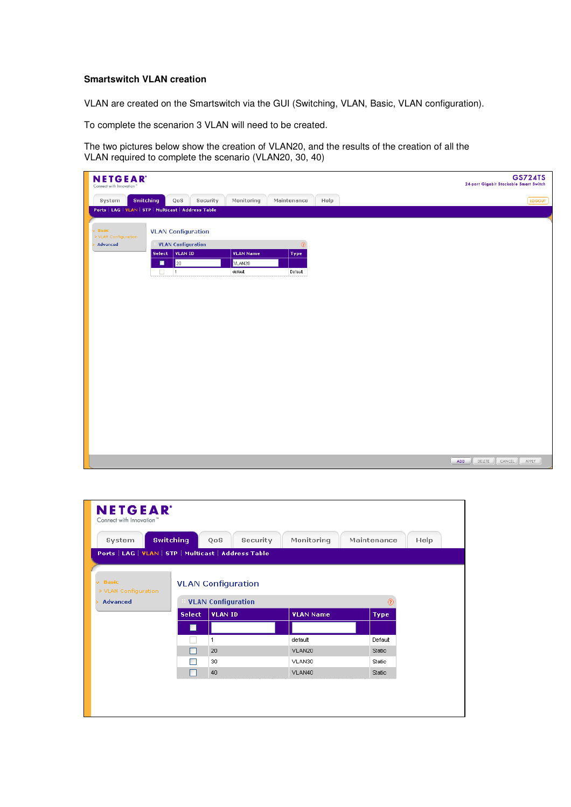### **Smartswitch VLAN creation**

VLAN are created on the Smartswitch via the GUI (Switching, VLAN, Basic, VLAN configuration).

To complete the scenarion 3 VLAN will need to be created.

The two pictures below show the creation of VLAN20, and the results of the creation of all the VLAN required to complete the scenario (VLAN20, 30, 40)



| <b>NETGEAR</b><br>Connect with Innovation"<br><b>Switching</b><br>System                       |               | Security<br>QoS           | Monitoring       | Maintenance<br>Help |  |  |  |
|------------------------------------------------------------------------------------------------|---------------|---------------------------|------------------|---------------------|--|--|--|
| Ports   LAG   VLAN   STP   Multicast   Address Table<br>$v$ Basic<br><b>VLAN Configuration</b> |               |                           |                  |                     |  |  |  |
| » VLAN Configuration<br><b>Advanced</b>                                                        |               | <b>VLAN Configuration</b> |                  | ⊚                   |  |  |  |
|                                                                                                | <b>Select</b> | <b>VLAN ID</b>            | <b>VLAN Name</b> | Type                |  |  |  |
|                                                                                                | ■             |                           |                  |                     |  |  |  |
|                                                                                                |               | 1                         | default          | Default             |  |  |  |
|                                                                                                |               | 20                        | VLAN20           | Static              |  |  |  |
|                                                                                                |               | 30                        | VLAN30           | Static              |  |  |  |
|                                                                                                |               | 40                        | VLAN40           | Static              |  |  |  |
|                                                                                                |               |                           |                  |                     |  |  |  |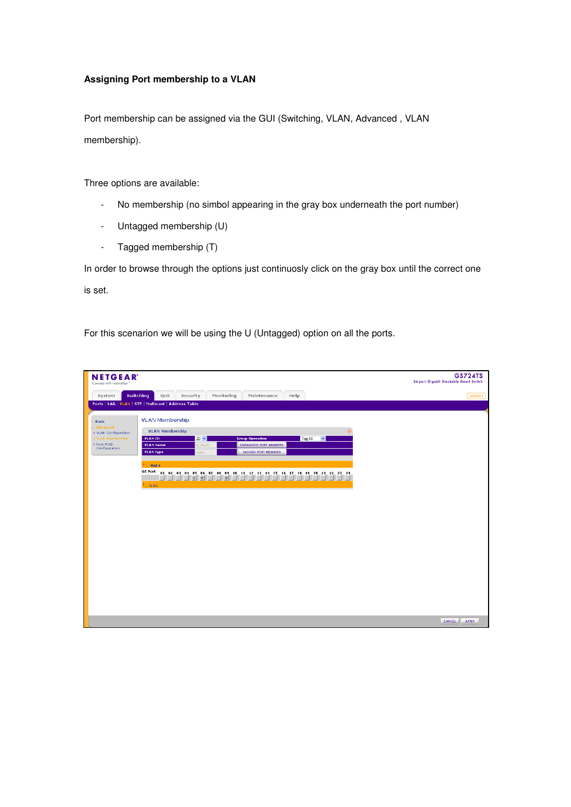## **Assigning Port membership to a VLAN**

Port membership can be assigned via the GUI (Switching, VLAN, Advanced , VLAN membership).

Three options are available:

- No membership (no simbol appearing in the gray box underneath the port number)
- Untagged membership (U)
- Tagged membership (T)

In order to browse through the options just continuosly click on the gray box until the correct one is set.

For this scenarion we will be using the U (Untagged) option on all the ports.

| <b>NETGEAR</b><br>Connect with Innovation" |                                                      |                        |                                                        |                                     | <b>GS724TS</b><br>24-port Gigabit Stackable Smart Switch |
|--------------------------------------------|------------------------------------------------------|------------------------|--------------------------------------------------------|-------------------------------------|----------------------------------------------------------|
| System                                     | Switching<br>QoS                                     | Security<br>Monitoring | Maintenance                                            | Help                                | LOGOUT                                                   |
|                                            | Ports   LAG   VLAN   STP   Multicast   Address Table |                        |                                                        |                                     |                                                          |
| <b>Basic</b>                               | <b>VLAN Membership</b>                               |                        |                                                        |                                     |                                                          |
| Advanced<br>» VLAN Configuration           | <b>VLAN Membership</b>                               |                        |                                                        | $\circledR$                         |                                                          |
| » VLAN Membership<br>» Port PVID           | VLAN ID<br><b>VLAN Name</b>                          | $20 \vee$<br>VLAN20    | <b>Group Operation</b><br><b>UNTAGGED PORT MEMBERS</b> | $\vert \mathbf{v} \vert$<br>Tag All |                                                          |
| Configuration                              | <b>VLAN Type</b>                                     | static                 | <b>TAGGED PORT MEMBERS</b>                             |                                     |                                                          |
|                                            | Unit <sub>1</sub>                                    |                        |                                                        |                                     |                                                          |
|                                            |                                                      |                        |                                                        |                                     |                                                          |
|                                            | LAG                                                  |                        |                                                        |                                     |                                                          |
|                                            |                                                      |                        |                                                        |                                     |                                                          |
|                                            |                                                      |                        |                                                        |                                     |                                                          |
|                                            |                                                      |                        |                                                        |                                     |                                                          |
|                                            |                                                      |                        |                                                        |                                     |                                                          |
|                                            |                                                      |                        |                                                        |                                     |                                                          |
|                                            |                                                      |                        |                                                        |                                     |                                                          |
|                                            |                                                      |                        |                                                        |                                     |                                                          |
|                                            |                                                      |                        |                                                        |                                     |                                                          |
|                                            |                                                      |                        |                                                        |                                     |                                                          |
|                                            |                                                      |                        |                                                        |                                     |                                                          |
|                                            |                                                      |                        |                                                        |                                     |                                                          |
|                                            |                                                      |                        |                                                        |                                     |                                                          |
|                                            |                                                      |                        |                                                        |                                     | <b>CANCEL</b><br>APPLY                                   |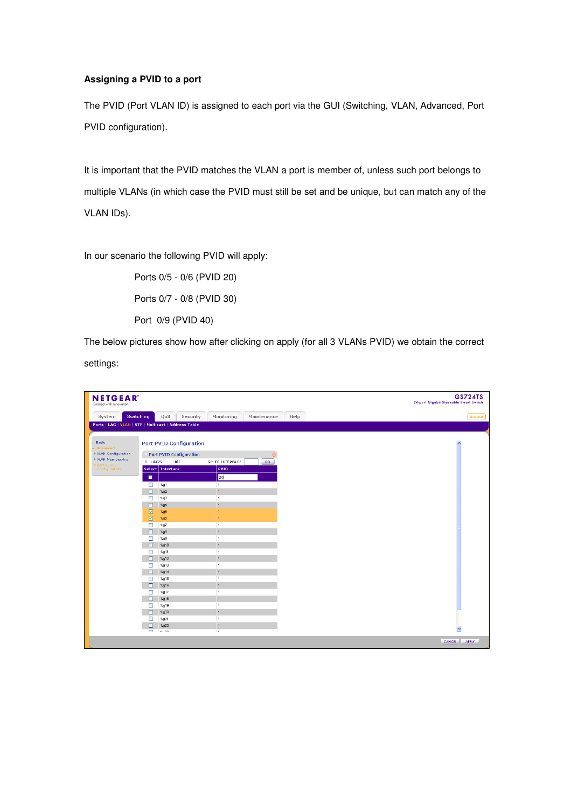# **Assigning a PVID to a port**

The PVID (Port VLAN ID) is assigned to each port via the GUI (Switching, VLAN, Advanced, Port PVID configuration).

It is important that the PVID matches the VLAN a port is member of, unless such port belongs to multiple VLANs (in which case the PVID must still be set and be unique, but can match any of the VLAN IDs).

In our scenario the following PVID will apply:

Ports 0/5 - 0/6 (PVID 20) Ports 0/7 - 0/8 (PVID 30) Port 0/9 (PVID 40)

The below pictures show how after clicking on apply (for all 3 VLANs PVID) we obtain the correct settings:

| <b>NETGEAR</b><br>Connect with Innovation"           |                          |                                |                                  |                |      | <b>GS724TS</b><br>24-port Gigabit Stackable Smart Switch |
|------------------------------------------------------|--------------------------|--------------------------------|----------------------------------|----------------|------|----------------------------------------------------------|
| System                                               | Switching                | QoS                            | Monitoring<br>Security           | Maintenance    | Help | LOGOUT                                                   |
| Ports   LAG   VLAN   STP   Multicast   Address Table |                          |                                |                                  |                |      |                                                          |
|                                                      |                          |                                |                                  |                |      |                                                          |
| <b>Basic</b><br><b>Advanced</b>                      |                          | <b>Port PVID Configuration</b> |                                  |                |      |                                                          |
| » VLAN Configuration                                 |                          | <b>Port PVID Configuration</b> |                                  | $\circledcirc$ |      |                                                          |
| » VLAN Membership                                    | 1 LAGS                   | All                            | GO TO INTERFACE                  | GO             |      |                                                          |
| > Port PVID<br>Configuration                         |                          | Select Interface               | PVID                             |                |      |                                                          |
|                                                      | п                        |                                | 20                               |                |      |                                                          |
|                                                      | $\Box$                   | 1/g1                           | $\overline{1}$                   |                |      |                                                          |
|                                                      | $\Box$                   | 1/g2                           | $\overline{1}$                   |                |      |                                                          |
|                                                      | $\Box$                   | 1/g3                           | $\overline{1}$                   |                |      |                                                          |
|                                                      | $\Box$                   | 1/g4                           | $\overline{1}$                   |                |      |                                                          |
|                                                      | $\boxtimes$              | 1/g5                           | $\overline{1}$                   |                |      |                                                          |
|                                                      | ☑                        | 1/g6                           | $\overline{1}$                   |                |      |                                                          |
|                                                      | $\Box$                   | 1/g7                           | $\overline{1}$                   |                |      |                                                          |
|                                                      | $\Box$                   | 1/g8                           | $\overline{1}$                   |                |      |                                                          |
|                                                      | $\Box$                   | 1/g9                           | $\overline{1}$                   |                |      |                                                          |
|                                                      | $\Box$                   | 1/g10                          | $\overline{1}$                   |                |      |                                                          |
|                                                      | □                        | 1/g11                          | $\overline{1}$                   |                |      |                                                          |
|                                                      | $\Box$                   | 1/g12                          | $\overline{1}$                   |                |      |                                                          |
|                                                      | $\Box$                   | 1/g13                          | $\overline{1}$                   |                |      |                                                          |
|                                                      | $\Box$                   | 1/g14                          | $\overline{1}$                   |                |      |                                                          |
|                                                      | $\Box$                   | 1/g15                          | $\overline{1}$<br>$\overline{1}$ |                |      |                                                          |
|                                                      | $\Box$                   | 1/g16<br>1/g17                 | $\overline{1}$                   |                |      |                                                          |
|                                                      | $\Box$<br>$\Box$         | 1/g18                          | $\overline{1}$                   |                |      |                                                          |
|                                                      | $\Box$                   | 1/g19                          | 1                                |                |      |                                                          |
|                                                      | $\Box$                   | 1/g20                          | $\overline{1}$                   |                |      |                                                          |
|                                                      | П                        | 1/g21                          | $\overline{1}$                   |                |      |                                                          |
|                                                      | □                        | 1/g22                          | $\overline{1}$                   |                |      |                                                          |
|                                                      | $\overline{\phantom{a}}$ | ممتنا                          | $\overline{\phantom{a}}$         |                |      | $\checkmark$                                             |
|                                                      |                          |                                |                                  |                |      | CANCEL<br><b>APPLY</b>                                   |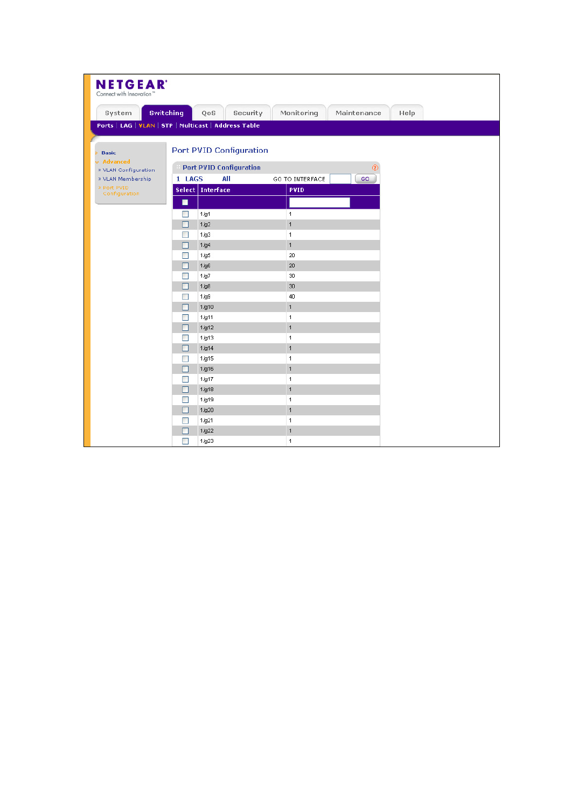| <b>NETGEAR</b><br>Connect with Innovation" |                                                                                  |      |
|--------------------------------------------|----------------------------------------------------------------------------------|------|
| <b>Switching</b><br>System                 | Monitoring<br>Maintenance<br>Security<br>QoS                                     | Help |
|                                            | Ports   LAG   VLAN   STP   Multicast   Address Table                             |      |
|                                            |                                                                                  |      |
| <b>Basic</b>                               | <b>Port PVID Configuration</b>                                                   |      |
| v Advanced                                 |                                                                                  |      |
| » VLAN Configuration                       | <b>Port PVID Configuration</b><br>$^{\circ}$                                     |      |
| » VLAN Membership<br>» Port PVID           | 1 LAGS<br>All<br>GO TO INTERFACE<br>GO<br><b>Select Interface</b><br><b>PVID</b> |      |
| Configuration                              |                                                                                  |      |
|                                            | п                                                                                |      |
|                                            | $\mathbf{1}$<br>1/g1<br>П                                                        |      |
|                                            | $\overline{1}$<br>П<br>1/g2<br>$\mathbf{1}$<br>$\overline{\phantom{a}}$<br>1/g3  |      |
|                                            | $\mathbf{1}$<br>1/g4<br>П                                                        |      |
|                                            | 20<br>1/g5                                                                       |      |
|                                            | 1/g6<br>20<br>П                                                                  |      |
|                                            | 30<br>П<br>1/g7                                                                  |      |
|                                            | 30<br>П<br>1/g8                                                                  |      |
|                                            | 40<br>$\overline{\phantom{a}}$<br>1/g9                                           |      |
|                                            | $\mathbf{1}$<br>1/g10<br>П                                                       |      |
|                                            | $\mathbf{1}$<br>$\mathcal{C}$<br>1/g11                                           |      |
|                                            | $\mathbf{1}$<br>П<br>1/g12                                                       |      |
|                                            | $\mathbf{1}$<br>$\overline{\phantom{0}}$<br>1/g13                                |      |
|                                            | $\mathbf{1}$<br>1/g14<br>П                                                       |      |
|                                            | $\mathbf{1}$<br>1/g15<br>T<br>$\mathbf{1}$<br>1/g16<br>П                         |      |
|                                            | 1/g17<br>$\mathbf{1}$<br>П                                                       |      |
|                                            | $\overline{1}$<br>1/g18<br>П                                                     |      |
|                                            | 1/g19<br>$\mathbf{1}$<br>$\mathcal{C}$                                           |      |
|                                            | $\mathbf{1}$<br>1/g20<br>П                                                       |      |
|                                            | $\mathbf{1}$<br>1/g21                                                            |      |
|                                            | 1/g22<br>$\mathbf{1}$<br>П                                                       |      |
|                                            | П<br>1/g23<br>$\mathbf{1}$                                                       |      |